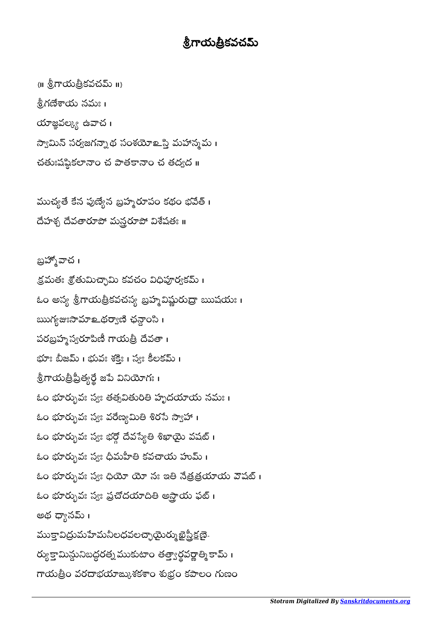## .8.గాయత్రికవచమ్

 $\{||\}$   $\{||\}$ గాయత్రీకవచమ్ $\|$   $\|$ నీగణేశాయ నమః । యాజ్ఞవల్క్య ఉవాచ $\,$ । స్వామిన్ సర్యజగన్నాథ సంశయోஉస్తి మహాన్మమ । చతుఃషష్థికలానా౦ చ పాతకానా౦ చ తద్వద ॥

ముచ్యతే కేన పుణ్యేన బ్రహ్మరూపం కథం భవేత్ । దేహశ్చ దేవతారూపో మన్రరూపో విశేషతః ॥

బ్రహ్మోచ । క్రమతః శ్రోతుమిచ్చామి కవచం విధిపూర్వకమ్ । ఓం అస్య శ్రీగాయత్రీకవచస్య బ్రహ్మవిష్ణురుద్రా ఋషయః । ఋగ్యజఃసామాஉథర్యాణి ఛన్లా౦సి । పరబ్రహ్మస్వరూపిణీ గాయత్రీ దేవతా। భూః బీజమ్ । భువః శక్తిః । స్వః కీలకమ్ । ఠ్రిగాయత్రిప్రత్యర్థే జపె వినియోగః । ఓం భూర్భువః స్యః తత్సవితురితి హృదయాయ నమ<mark>ః</mark> । ఓం భూర్భువః స్వః వరేణ్యమితి శిరసే స్వాహా । ఓం భూర్భువః స్వః భర్గో దేవస్యేతి శిఖాయై వషట్ । ఓం భూర్భువః స్వః ధీమహీతి కవచాయ హుమ్ । ఓం భూర్భువః స్యః ధియో యో నః ఇతి నేత్రత్రయాయ వౌషట్ । ఓం భూర్భువః స్యః ప్రచోదయాదితి అస్తాయ ఫట్ । అథ ధ్యానమ్ <mark>၊</mark> ముక్తావిద్రుమహేమనీలధవలచ్చాయైర్ము ఖైస్త్రీక్షణై-ర్యుక్తామిన్దునిబద్ధరత్న ముకుటాం తత్త్వార్థవర్ణాత్మి కామ్ । గాయత్రీం వరదాభయాఙ్కుశకశాం శుభ్రం కపాలం గుణం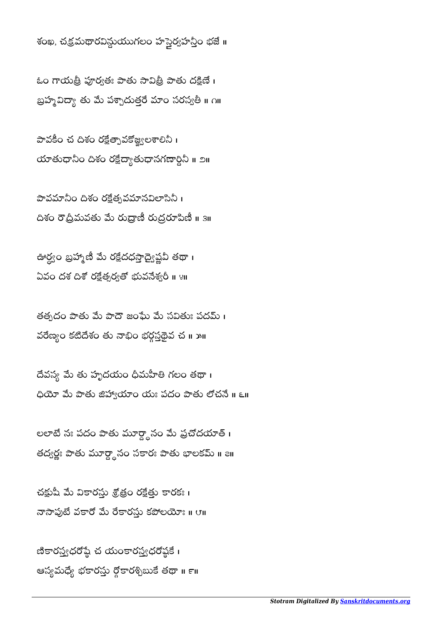శంఖ, చక్రమథారవిస్థుయుగలం హస్తైర్వహన్తీం భజే ॥

ఓం గాయత్రీ పూర్వతః పాతు సావిత్రీ పాతు దక్షిణే। బ్రహ్మవిద్యా తు మే పశ్చాదుత్తరే మాం సరస్వతీ ॥ ౧॥

పావకీం చ దిశం రక్షేత్పావకోజ్జ్వలశాలినీ। యాతుధానీం దిశం రక్షేద్యాతుధానగణార్ధినీ ॥ ౨॥

పావమానీం దిశం రక్షేత్భవమానవిలాసినీ । దిశం రౌద్రీమవతు మే రుద్రాణీ రుద్రరూపిణీ ॥ ३॥

ఊర్ధ్యం బ్రహ్మోణీ మె రక్షేదధస్తాద్వెష్ణవి తథా । ఏవం దశ దిశో రక్షేత్పర్వతో భువనేశ్వరీ ॥ ४॥

తత్పదం పాతు మే పాదౌ జంఘే మే సవితుః పదమ్ । వరెణ్యం కటీదేశం తు నాభిం భర్గస్తడైవ చ ॥ ౫॥

దేవస్య మే తు హృదయం ధీమహీతి గలం తథా। ధియో మే పాతు జిహ్యాయాం యః పదం పాతు లోచనే ॥ ౬॥

లలాటే నః పదం పాతు మూర్డ్దానం మే ప్రచోదయాత్ । తద్వర్ణః పాతు మూర్ద్దానం సకారః పాతు భాలకమ్ ॥ <mark>౭</mark>॥

చక్షుషీ మే వికారస్తు శ్రోత్రం రక్షేత్తు కారకః। నాసాపుటే వకారో మే రేకారస్తు కపోలయోః ॥ ౮॥

ణికారస్త్యధరోష్ఠే చ యంకారస్త్యధరోష్ఠకే। ఆస్యమధ్యే భకారస్తు ర్ధోకారశ్చిబుకే తథా ॥ ౯॥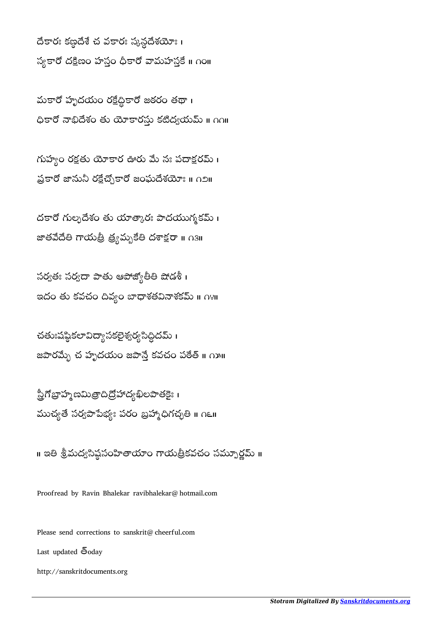దేకారః కణ్ఠదేశే చ వకారః స్కన్ధదేశయోః । స్వకారో దక్షిణం హస్తం ధీకారో వామహస్తే ॥ ౧౦॥

మకారో హృదయం రక్షేద్ధికారో జఠరం తథా। ధికారో నాభిదేశం తు యోకారస్తు కటిద్వయమ్ ॥ ∩∩॥

గుహ్యం రక్షతు యోకార ఊరు మే నః పదాక్షరమ్ । ప్రకారో జానునీ రక్షేచ్చేకారో జంఘదేశయోః ॥ ∩౨॥

దకారో గుల్ళదేశం తు యాత్కారః పాదయుగ్మకమ్ । జాతవేదేతి గాయత్రీ త్ర్యమ్బకేతి దశాక్షరా ॥ ౧౩॥

సర్వతః సర్వదా పాతు ఆపోజ్యోతీతి షోడశీ। ఇదం తు కవచం దివ్యం బాధాశతవినాశకమ్ ॥ ∩೪॥

చతుఃషష్ఠకలావిద్యా సకలైశ్వర్య సిద్ధీదమ్ । జపారమ్బే చ హృదయం జపాన్తే కవచం పఠేత్ ॥ ౧౫॥

స్త్రీగోబ్రాహ్మణమిత్రాది ద్రోహాద్య ఖీలపాతకైః । ముచ్యతే సర్వపాపేభ్యః పరం బ్రహ్మాధిగచ్ఛతి ॥ ౧౬॥

॥ ఇతి శ్రీమద్యసిష్ఠపంహితాయాం గాయత్రీకవచం సమ్పూర్ణమ్ ॥

Proofread by Ravin Bhalekar ravibhalekar@hotmail.com

Please send corrections to sanskrit@cheerful.com

Last updated  $\bar{6}$ oday

http://sanskritdocuments.org